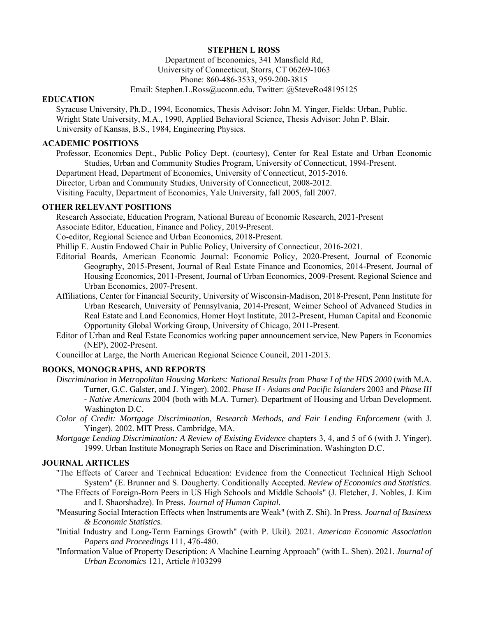# **STEPHEN L ROSS**

Department of Economics, 341 Mansfield Rd, University of Connecticut, Storrs, CT 06269-1063 Phone: 860-486-3533, 959-200-3815

## Email: Stephen.L.Ross@uconn.edu, Twitter: @SteveRo48195125

### **EDUCATION**

Syracuse University, Ph.D., 1994, Economics, Thesis Advisor: John M. Yinger, Fields: Urban, Public. Wright State University, M.A., 1990, Applied Behavioral Science, Thesis Advisor: John P. Blair. University of Kansas, B.S., 1984, Engineering Physics.

# **ACADEMIC POSITIONS**

Professor, Economics Dept., Public Policy Dept. (courtesy), Center for Real Estate and Urban Economic Studies, Urban and Community Studies Program, University of Connecticut, 1994-Present.

Department Head, Department of Economics, University of Connecticut, 2015-2016.

Director, Urban and Community Studies, University of Connecticut, 2008-2012.

Visiting Faculty, Department of Economics, Yale University, fall 2005, fall 2007.

### **OTHER RELEVANT POSITIONS**

Research Associate, Education Program, National Bureau of Economic Research, 2021-Present

Associate Editor, Education, Finance and Policy, 2019-Present.

Co-editor, Regional Science and Urban Economics, 2018-Present.

Phillip E. Austin Endowed Chair in Public Policy, University of Connecticut, 2016-2021.

- Editorial Boards, American Economic Journal: Economic Policy, 2020-Present, Journal of Economic Geography, 2015-Present, Journal of Real Estate Finance and Economics, 2014-Present, Journal of Housing Economics, 2011-Present, Journal of Urban Economics, 2009-Present, Regional Science and Urban Economics, 2007-Present.
- Affiliations, Center for Financial Security, University of Wisconsin-Madison, 2018-Present, Penn Institute for Urban Research, University of Pennsylvania, 2014-Present, Weimer School of Advanced Studies in Real Estate and Land Economics, Homer Hoyt Institute, 2012-Present, Human Capital and Economic Opportunity Global Working Group, University of Chicago, 2011-Present.
- Editor of Urban and Real Estate Economics working paper announcement service, New Papers in Economics (NEP), 2002-Present.

Councillor at Large, the North American Regional Science Council, 2011-2013.

## **BOOKS, MONOGRAPHS, AND REPORTS**

- *Discrimination in Metropolitan Housing Markets: National Results from Phase I of the HDS 2000* (with M.A. Turner, G.C. Galster, and J. Yinger). 2002. *Phase II - Asians and Pacific Islanders* 2003 and *Phase III - Native Americans* 2004 (both with M.A. Turner). Department of Housing and Urban Development. Washington D.C.
- *Color of Credit: Mortgage Discrimination, Research Methods, and Fair Lending Enforcement* (with J. Yinger). 2002. MIT Press. Cambridge, MA.
- *Mortgage Lending Discrimination: A Review of Existing Evidence* chapters 3, 4, and 5 of 6 (with J. Yinger). 1999. Urban Institute Monograph Series on Race and Discrimination. Washington D.C.

## **JOURNAL ARTICLES**

- "The Effects of Career and Technical Education: Evidence from the Connecticut Technical High School System" (E. Brunner and S. Dougherty. Conditionally Accepted. *Review of Economics and Statistics.*
- "The Effects of Foreign-Born Peers in US High Schools and Middle Schools" (J. Fletcher, J. Nobles, J. Kim and I. Shaorshadze). In Press. *Journal of Human Capital.*
- "Measuring Social Interaction Effects when Instruments are Weak" (with Z. Shi). In Press. *Journal of Business & Economic Statistics.*
- "Initial Industry and Long-Term Earnings Growth" (with P. Ukil). 2021. *American Economic Association Papers and Proceedings* 111, 476-480.
- "Information Value of Property Description: A Machine Learning Approach" (with L. Shen). 2021. *Journal of Urban Economics* 121, Article #103299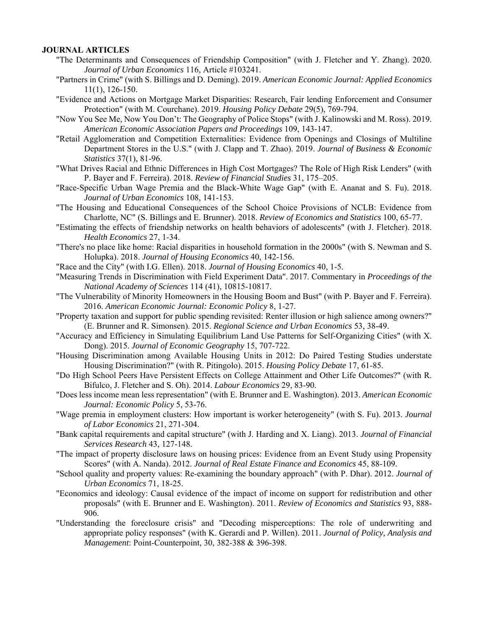### **JOURNAL ARTICLES**

- "The Determinants and Consequences of Friendship Composition" (with J. Fletcher and Y. Zhang). 2020. *Journal of Urban Economics* 116, Article #103241.
- "Partners in Crime" (with S. Billings and D. Deming). 2019. *American Economic Journal: Applied Economics* 11(1), 126-150.
- "Evidence and Actions on Mortgage Market Disparities: Research, Fair lending Enforcement and Consumer Protection" (with M. Courchane). 2019. *Housing Policy Debate* 29(5), 769-794.
- "Now You See Me, Now You Don't: The Geography of Police Stops" (with J. Kalinowski and M. Ross). 2019. *American Economic Association Papers and Proceedings* 109, 143-147.
- "Retail Agglomeration and Competition Externalities: Evidence from Openings and Closings of Multiline Department Stores in the U.S." (with J. Clapp and T. Zhao). 2019. *Journal of Business & Economic Statistics* 37(1), 81-96.
- "What Drives Racial and Ethnic Differences in High Cost Mortgages? The Role of High Risk Lenders" (with P. Bayer and F. Ferreira). 2018. *Review of Financial Studies* 31, 175–205.
- "Race-Specific Urban Wage Premia and the Black-White Wage Gap" (with E. Ananat and S. Fu). 2018. *Journal of Urban Economics* 108, 141-153.
- "The Housing and Educational Consequences of the School Choice Provisions of NCLB: Evidence from Charlotte, NC" (S. Billings and E. Brunner). 2018. *Review of Economics and Statistics* 100, 65-77.
- "Estimating the effects of friendship networks on health behaviors of adolescents" (with J. Fletcher). 2018. *Health Economics* 27, 1-34.
- "There's no place like home: Racial disparities in household formation in the 2000s" (with S. Newman and S. Holupka). 2018. *Journal of Housing Economics* 40, 142-156.
- "Race and the City" (with I.G. Ellen). 2018. *Journal of Housing Economics* 40, 1-5.
- "Measuring Trends in Discrimination with Field Experiment Data". 2017. Commentary in *Proceedings of the National Academy of Sciences* 114 (41), 10815-10817.
- "The Vulnerability of Minority Homeowners in the Housing Boom and Bust" (with P. Bayer and F. Ferreira). 2016. *American Economic Journal: Economic Policy* 8, 1-27.
- "Property taxation and support for public spending revisited: Renter illusion or high salience among owners?" (E. Brunner and R. Simonsen). 2015. *Regional Science and Urban Economics* 53, 38-49.
- "Accuracy and Efficiency in Simulating Equilibrium Land Use Patterns for Self-Organizing Cities" (with X. Dong). 2015. *Journal of Economic Geography* 15, 707-722.
- "Housing Discrimination among Available Housing Units in 2012: Do Paired Testing Studies understate Housing Discrimination?" (with R. Pitingolo). 2015. *Housing Policy Debate* 17, 61-85.
- "Do High School Peers Have Persistent Effects on College Attainment and Other Life Outcomes?" (with R. Bifulco, J. Fletcher and S. Oh). 2014. *Labour Economics* 29, 83-90.
- "Does less income mean less representation" (with E. Brunner and E. Washington). 2013. *American Economic Journal: Economic Policy* 5, 53-76.
- "Wage premia in employment clusters: How important is worker heterogeneity" (with S. Fu). 2013. *Journal of Labor Economics* 21, 271-304.
- "Bank capital requirements and capital structure" (with J. Harding and X. Liang). 2013. *Journal of Financial Services Research* 43, 127-148.
- "The impact of property disclosure laws on housing prices: Evidence from an Event Study using Propensity Scores" (with A. Nanda). 2012. *Journal of Real Estate Finance and Economics* 45, 88-109*.*
- "School quality and property values: Re-examining the boundary approach" (with P. Dhar). 2012. *Journal of Urban Economics* 71, 18-25.
- "Economics and ideology: Causal evidence of the impact of income on support for redistribution and other proposals" (with E. Brunner and E. Washington). 2011. *Review of Economics and Statistics* 93, 888- 906.
- "Understanding the foreclosure crisis" and "Decoding misperceptions: The role of underwriting and appropriate policy responses" (with K. Gerardi and P. Willen). 2011. *Journal of Policy, Analysis and Management*: Point-Counterpoint, 30, 382-388 & 396-398.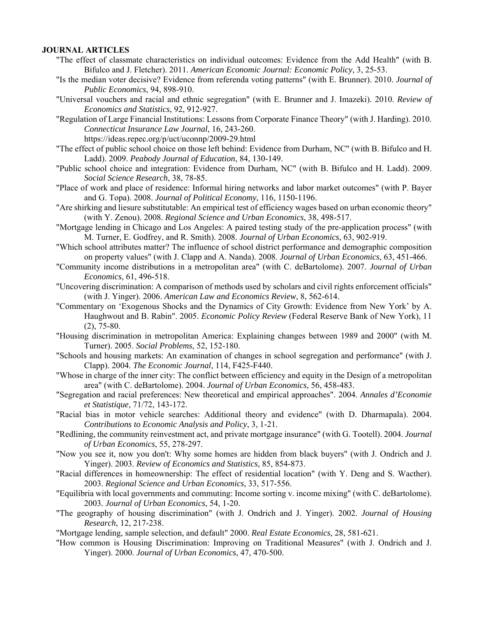### **JOURNAL ARTICLES**

- "The effect of classmate characteristics on individual outcomes: Evidence from the Add Health" (with B. Bifulco and J. Fletcher). 2011. *American Economic Journal: Economic Policy*, 3, 25-53.
- "Is the median voter decisive? Evidence from referenda voting patterns" (with E. Brunner). 2010. *Journal of Public Economics*, 94, 898-910.
- "Universal vouchers and racial and ethnic segregation" (with E. Brunner and J. Imazeki). 2010. *Review of Economics and Statistics*, 92, 912-927.
- "Regulation of Large Financial Institutions: Lessons from Corporate Finance Theory" (with J. Harding). 2010. *Connecticut Insurance Law Journal*, 16, 243-260.

https://ideas.repec.org/p/uct/uconnp/2009-29.html

- "The effect of public school choice on those left behind: Evidence from Durham, NC" (with B. Bifulco and H. Ladd). 2009. *Peabody Journal of Education*, 84, 130-149.
- "Public school choice and integration: Evidence from Durham, NC" (with B. Bifulco and H. Ladd). 2009. *Social Science Research*, 38, 78-85.
- "Place of work and place of residence: Informal hiring networks and labor market outcomes" (with P. Bayer and G. Topa). 2008. *Journal of Political Economy*, 116, 1150-1196.
- "Are shirking and liesure substitutable: An empirical test of efficiency wages based on urban economic theory" (with Y. Zenou). 2008. *Regional Science and Urban Economics*, 38, 498-517.
- "Mortgage lending in Chicago and Los Angeles: A paired testing study of the pre-application process" (with M. Turner, E. Godfrey, and R. Smith). 2008. *Journal of Urban Economics*, 63, 902-919.
- "Which school attributes matter? The influence of school district performance and demographic composition on property values" (with J. Clapp and A. Nanda). 2008. *Journal of Urban Economics*, 63, 451-466.
- "Community income distributions in a metropolitan area" (with C. deBartolome). 2007. *Journal of Urban Economics*, 61, 496-518.
- "Uncovering discrimination: A comparison of methods used by scholars and civil rights enforcement officials" (with J. Yinger). 2006. *American Law and Economics Review*, 8, 562-614.
- "Commentary on 'Exogenous Shocks and the Dynamics of City Growth: Evidence from New York' by A. Haughwout and B. Rabin". 2005. *Economic Policy Review* (Federal Reserve Bank of New York), 11 (2), 75-80.
- "Housing discrimination in metropolitan America: Explaining changes between 1989 and 2000" (with M. Turner). 2005. *Social Problems*, 52, 152-180.
- "Schools and housing markets: An examination of changes in school segregation and performance" (with J. Clapp). 2004. *The Economic Journal*, 114, F425-F440.
- "Whose in charge of the inner city: The conflict between efficiency and equity in the Design of a metropolitan area" (with C. deBartolome). 2004. *Journal of Urban Economics*, 56, 458-483.
- "Segregation and racial preferences: New theoretical and empirical approaches". 2004. *Annales d'Economie et Statistique*, 71/72, 143-172.
- "Racial bias in motor vehicle searches: Additional theory and evidence" (with D. Dharmapala). 2004. *Contributions to Economic Analysis and Policy*, 3, 1-21.
- "Redlining, the community reinvestment act, and private mortgage insurance" (with G. Tootell). 2004. *Journal of Urban Economics*, 55, 278-297.
- "Now you see it, now you don't: Why some homes are hidden from black buyers" (with J. Ondrich and J. Yinger). 2003. *Review of Economics and Statistics*, 85, 854-873.
- "Racial differences in homeownership: The effect of residential location" (with Y. Deng and S. Wacther). 2003. *Regional Science and Urban Economics*, 33, 517-556.
- "Equilibria with local governments and commuting: Income sorting v. income mixing" (with C. deBartolome). 2003*. Journal of Urban Economics*, 54, 1-20.
- "The geography of housing discrimination" (with J. Ondrich and J. Yinger). 2002. *Journal of Housing Research*, 12, 217-238.
- "Mortgage lending, sample selection, and default" 2000. *Real Estate Economics*, 28, 581-621.
- "How common is Housing Discrimination: Improving on Traditional Measures" (with J. Ondrich and J. Yinger). 2000. *Journal of Urban Economics*, 47, 470-500.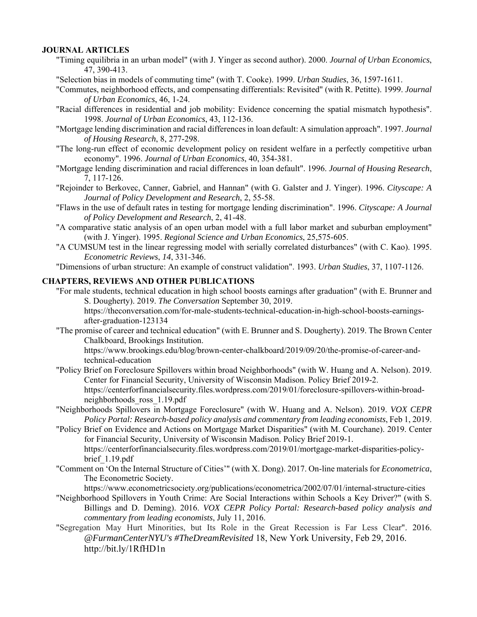## **JOURNAL ARTICLES**

- "Timing equilibria in an urban model" (with J. Yinger as second author). 2000. *Journal of Urban Economics*, 47, 390-413.
- "Selection bias in models of commuting time" (with T. Cooke). 1999. *Urban Studies*, 36, 1597-1611.
- "Commutes, neighborhood effects, and compensating differentials: Revisited" (with R. Petitte). 1999. *Journal of Urban Economics*, 46, 1-24.
- "Racial differences in residential and job mobility: Evidence concerning the spatial mismatch hypothesis". 1998. *Journal of Urban Economics*, 43, 112-136.
- "Mortgage lending discrimination and racial differences in loan default: A simulation approach". 1997. *Journal of Housing Research*, 8, 277-298.
- "The long-run effect of economic development policy on resident welfare in a perfectly competitive urban economy". 1996. *Journal of Urban Economics*, 40, 354-381.
- "Mortgage lending discrimination and racial differences in loan default". 1996. *Journal of Housing Research*, 7, 117-126.
- "Rejoinder to Berkovec, Canner, Gabriel, and Hannan" (with G. Galster and J. Yinger). 1996. *Cityscape: A Journal of Policy Development and Research*, 2, 55-58.
- "Flaws in the use of default rates in testing for mortgage lending discrimination". 1996. *Cityscape: A Journal of Policy Development and Research*, 2, 41-48.
- "A comparative static analysis of an open urban model with a full labor market and suburban employment" (with J. Yinger). 1995. *Regional Science and Urban Economics*, 25,575-605.
- "A CUMSUM test in the linear regressing model with serially correlated disturbances" (with C. Kao). 1995. *Econometric Reviews*, *14*, 331-346.

"Dimensions of urban structure: An example of construct validation". 1993. *Urban Studies*, 37, 1107-1126.

### **CHAPTERS, REVIEWS AND OTHER PUBLICATIONS**

"For male students, technical education in high school boosts earnings after graduation" (with E. Brunner and S. Dougherty). 2019. *The Conversation* September 30, 2019.

 https://theconversation.com/for-male-students-technical-education-in-high-school-boosts-earningsafter-graduation-123134

"The promise of career and technical education" (with E. Brunner and S. Dougherty). 2019. The Brown Center Chalkboard, Brookings Institution.

 https://www.brookings.edu/blog/brown-center-chalkboard/2019/09/20/the-promise-of-career-andtechnical-education

- "Policy Brief on Foreclosure Spillovers within broad Neighborhoods" (with W. Huang and A. Nelson). 2019. Center for Financial Security, University of Wisconsin Madison. Policy Brief 2019-2. https://centerforfinancialsecurity.files.wordpress.com/2019/01/foreclosure-spillovers-within-broadneighborhoods\_ross\_1.19.pdf
- "Neighborhoods Spillovers in Mortgage Foreclosure" (with W. Huang and A. Nelson). 2019. *VOX CEPR Policy Portal: Research-based policy analysis and commentary from leading economists*, Feb 1, 2019.
- "Policy Brief on Evidence and Actions on Mortgage Market Disparities" (with M. Courchane). 2019. Center for Financial Security, University of Wisconsin Madison. Policy Brief 2019-1. https://centerforfinancialsecurity.files.wordpress.com/2019/01/mortgage-market-disparities-policybrief\_1.19.pdf
- "Comment on 'On the Internal Structure of Cities'" (with X. Dong). 2017. On-line materials for *Econometrica*, The Econometric Society.

https://www.econometricsociety.org/publications/econometrica/2002/07/01/internal-structure-cities

- "Neighborhood Spillovers in Youth Crime: Are Social Interactions within Schools a Key Driver?" (with S. Billings and D. Deming). 2016. *VOX CEPR Policy Portal: Research-based policy analysis and commentary from leading economists*, July 11, 2016.
- "Segregation May Hurt Minorities, but Its Role in the Great Recession is Far Less Clear". 2016. *@FurmanCenterNYU's #TheDreamRevisited* 18, New York University, Feb 29, 2016. http://bit.ly/1RfHD1n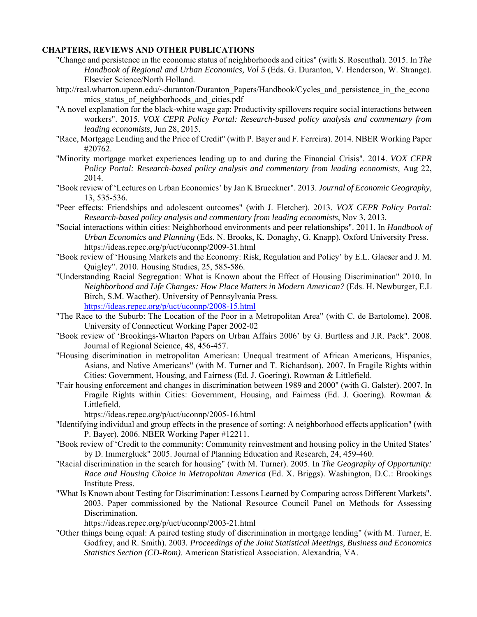## **CHAPTERS, REVIEWS AND OTHER PUBLICATIONS**

- "Change and persistence in the economic status of neighborhoods and cities" (with S. Rosenthal). 2015. In *The Handbook of Regional and Urban Economics, Vol 5* (Eds. G. Duranton, V. Henderson, W. Strange). Elsevier Science/North Holland.
- http://real.wharton.upenn.edu/~duranton/Duranton\_Papers/Handbook/Cycles\_and\_persistence\_in\_the\_econo mics status of neighborhoods and cities.pdf
- "A novel explanation for the black-white wage gap: Productivity spillovers require social interactions between workers". 2015. *VOX CEPR Policy Portal: Research-based policy analysis and commentary from leading economists*, Jun 28, 2015.
- "Race, Mortgage Lending and the Price of Credit" (with P. Bayer and F. Ferreira). 2014. NBER Working Paper #20762.
- "Minority mortgage market experiences leading up to and during the Financial Crisis". 2014. *VOX CEPR Policy Portal: Research-based policy analysis and commentary from leading economists*, Aug 22, 2014.
- "Book review of 'Lectures on Urban Economics' by Jan K Brueckner". 2013. *Journal of Economic Geography*, 13, 535-536.
- "Peer effects: Friendships and adolescent outcomes" (with J. Fletcher). 2013. *VOX CEPR Policy Portal: Research-based policy analysis and commentary from leading economists*, Nov 3, 2013*.*
- "Social interactions within cities: Neighborhood environments and peer relationships". 2011. In *Handbook of Urban Economics and Planning* (Eds. N. Brooks, K. Donaghy, G. Knapp). Oxford University Press. https://ideas.repec.org/p/uct/uconnp/2009-31.html
- "Book review of 'Housing Markets and the Economy: Risk, Regulation and Policy' by E.L. Glaeser and J. M. Quigley". 2010. Housing Studies, 25, 585-586.
- "Understanding Racial Segregation: What is Known about the Effect of Housing Discrimination" 2010. In *Neighborhood and Life Changes: How Place Matters in Modern American?* (Eds. H. Newburger, E.L Birch, S.M. Wacther). University of Pennsylvania Press. https://ideas.repec.org/p/uct/uconnp/2008-15.html
- "The Race to the Suburb: The Location of the Poor in a Metropolitan Area" (with C. de Bartolome). 2008. University of Connecticut Working Paper 2002-02
- "Book review of 'Brookings-Wharton Papers on Urban Affairs 2006' by G. Burtless and J.R. Pack". 2008. Journal of Regional Science, 48, 456-457.
- "Housing discrimination in metropolitan American: Unequal treatment of African Americans, Hispanics, Asians, and Native Americans" (with M. Turner and T. Richardson). 2007. In Fragile Rights within Cities: Government, Housing, and Fairness (Ed. J. Goering). Rowman & Littlefield.
- "Fair housing enforcement and changes in discrimination between 1989 and 2000" (with G. Galster). 2007. In Fragile Rights within Cities: Government, Housing, and Fairness (Ed. J. Goering). Rowman & Littlefield.
	- https://ideas.repec.org/p/uct/uconnp/2005-16.html
- "Identifying individual and group effects in the presence of sorting: A neighborhood effects application" (with P. Bayer). 2006. NBER Working Paper #12211.
- "Book review of 'Credit to the community: Community reinvestment and housing policy in the United States' by D. Immergluck" 2005. Journal of Planning Education and Research, 24, 459-460.
- "Racial discrimination in the search for housing" (with M. Turner). 2005. In *The Geography of Opportunity: Race and Housing Choice in Metropolitan America* (Ed. X. Briggs). Washington, D.C.: Brookings Institute Press.
- "What Is Known about Testing for Discrimination: Lessons Learned by Comparing across Different Markets". 2003. Paper commissioned by the National Resource Council Panel on Methods for Assessing Discrimination.

https://ideas.repec.org/p/uct/uconnp/2003-21.html

"Other things being equal: A paired testing study of discrimination in mortgage lending" (with M. Turner, E. Godfrey, and R. Smith). 2003*. Proceedings of the Joint Statistical Meetings, Business and Economics Statistics Section (CD-Rom)*. American Statistical Association. Alexandria, VA.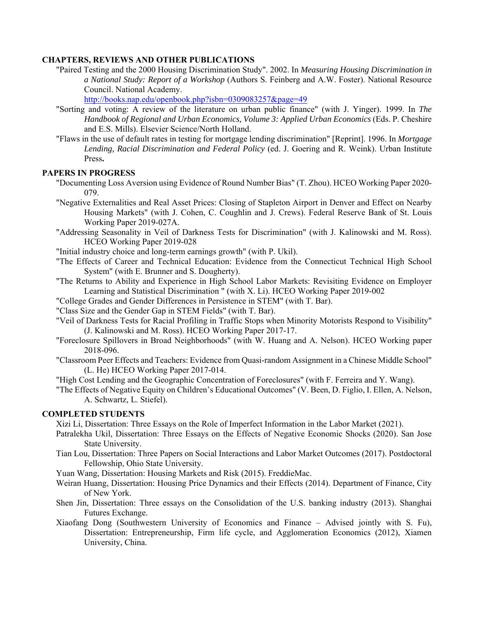# **CHAPTERS, REVIEWS AND OTHER PUBLICATIONS**

"Paired Testing and the 2000 Housing Discrimination Study". 2002. In *Measuring Housing Discrimination in a National Study: Report of a Workshop* (Authors S. Feinberg and A.W. Foster). National Resource Council. National Academy.

http://books.nap.edu/openbook.php?isbn=0309083257&page=49

- "Sorting and voting: A review of the literature on urban public finance" (with J. Yinger). 1999. In *The Handbook of Regional and Urban Economics, Volume 3: Applied Urban Economics* (Eds. P. Cheshire and E.S. Mills). Elsevier Science/North Holland.
- "Flaws in the use of default rates in testing for mortgage lending discrimination" [Reprint]. 1996. In *Mortgage Lending, Racial Discrimination and Federal Policy* (ed. J. Goering and R. Weink). Urban Institute Press**.**

# **PAPERS IN PROGRESS**

- "Documenting Loss Aversion using Evidence of Round Number Bias" (T. Zhou). HCEO Working Paper 2020- 079.
- "Negative Externalities and Real Asset Prices: Closing of Stapleton Airport in Denver and Effect on Nearby Housing Markets" (with J. Cohen, C. Coughlin and J. Crews). Federal Reserve Bank of St. Louis Working Paper 2019-027A.
- "Addressing Seasonality in Veil of Darkness Tests for Discrimination" (with J. Kalinowski and M. Ross). HCEO Working Paper 2019-028
- "Initial industry choice and long-term earnings growth" (with P. Ukil).
- "The Effects of Career and Technical Education: Evidence from the Connecticut Technical High School System" (with E. Brunner and S. Dougherty).
- "The Returns to Ability and Experience in High School Labor Markets: Revisiting Evidence on Employer Learning and Statistical Discrimination " (with X. Li). HCEO Working Paper 2019-002
- "College Grades and Gender Differences in Persistence in STEM" (with T. Bar).
- "Class Size and the Gender Gap in STEM Fields" (with T. Bar).
- "Veil of Darkness Tests for Racial Profiling in Traffic Stops when Minority Motorists Respond to Visibility" (J. Kalinowski and M. Ross). HCEO Working Paper 2017-17.
- "Foreclosure Spillovers in Broad Neighborhoods" (with W. Huang and A. Nelson). HCEO Working paper 2018-096.
- "Classroom Peer Effects and Teachers: Evidence from Quasi-random Assignment in a Chinese Middle School" (L. He) HCEO Working Paper 2017-014.
- "High Cost Lending and the Geographic Concentration of Foreclosures" (with F. Ferreira and Y. Wang).
- "The Effects of Negative Equity on Children's Educational Outcomes" (V. Been, D. Figlio, I. Ellen, A. Nelson, A. Schwartz, L. Stiefel).

# **COMPLETED STUDENTS**

Xizi Li, Dissertation: Three Essays on the Role of Imperfect Information in the Labor Market (2021).

- Patralekha Ukil, Dissertation: Three Essays on the Effects of Negative Economic Shocks (2020). San Jose State University.
- Tian Lou, Dissertation: Three Papers on Social Interactions and Labor Market Outcomes (2017). Postdoctoral Fellowship, Ohio State University.
- Yuan Wang, Dissertation: Housing Markets and Risk (2015). FreddieMac.
- Weiran Huang, Dissertation: Housing Price Dynamics and their Effects (2014). Department of Finance, City of New York.
- Shen Jin, Dissertation: Three essays on the Consolidation of the U.S. banking industry (2013). Shanghai Futures Exchange.
- Xiaofang Dong (Southwestern University of Economics and Finance Advised jointly with S. Fu), Dissertation: Entrepreneurship, Firm life cycle, and Agglomeration Economics (2012), Xiamen University, China.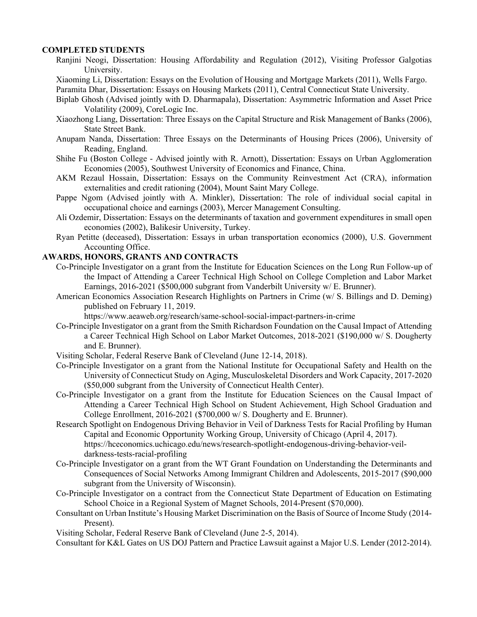# **COMPLETED STUDENTS**

- Ranjini Neogi, Dissertation: Housing Affordability and Regulation (2012), Visiting Professor Galgotias University.
- Xiaoming Li, Dissertation: Essays on the Evolution of Housing and Mortgage Markets (2011), Wells Fargo.

Paramita Dhar, Dissertation: Essays on Housing Markets (2011), Central Connecticut State University.

- Biplab Ghosh (Advised jointly with D. Dharmapala), Dissertation: Asymmetric Information and Asset Price Volatility (2009), CoreLogic Inc.
- Xiaozhong Liang, Dissertation: Three Essays on the Capital Structure and Risk Management of Banks (2006), State Street Bank.
- Anupam Nanda, Dissertation: Three Essays on the Determinants of Housing Prices (2006), University of Reading, England.
- Shihe Fu (Boston College Advised jointly with R. Arnott), Dissertation: Essays on Urban Agglomeration Economies (2005), Southwest University of Economics and Finance, China.
- AKM Rezaul Hossain, Dissertation: Essays on the Community Reinvestment Act (CRA), information externalities and credit rationing (2004), Mount Saint Mary College.
- Pappe Ngom (Advised jointly with A. Minkler), Dissertation: The role of individual social capital in occupational choice and earnings (2003), Mercer Management Consulting.
- Ali Ozdemir, Dissertation: Essays on the determinants of taxation and government expenditures in small open economies (2002), Balikesir University, Turkey.
- Ryan Petitte (deceased), Dissertation: Essays in urban transportation economics (2000), U.S. Government Accounting Office.

# **AWARDS, HONORS, GRANTS AND CONTRACTS**

- Co-Principle Investigator on a grant from the Institute for Education Sciences on the Long Run Follow-up of the Impact of Attending a Career Technical High School on College Completion and Labor Market Earnings, 2016-2021 (\$500,000 subgrant from Vanderbilt University w/ E. Brunner).
- American Economics Association Research Highlights on Partners in Crime (w/ S. Billings and D. Deming) published on February 11, 2019.

https://www.aeaweb.org/research/same-school-social-impact-partners-in-crime

- Co-Principle Investigator on a grant from the Smith Richardson Foundation on the Causal Impact of Attending a Career Technical High School on Labor Market Outcomes, 2018-2021 (\$190,000 w/ S. Dougherty and E. Brunner).
- Visiting Scholar, Federal Reserve Bank of Cleveland (June 12-14, 2018).
- Co-Principle Investigator on a grant from the National Institute for Occupational Safety and Health on the University of Connecticut Study on Aging, Musculoskeletal Disorders and Work Capacity, 2017-2020 (\$50,000 subgrant from the University of Connecticut Health Center).
- Co-Principle Investigator on a grant from the Institute for Education Sciences on the Causal Impact of Attending a Career Technical High School on Student Achievement, High School Graduation and College Enrollment, 2016-2021 (\$700,000 w/ S. Dougherty and E. Brunner).
- Research Spotlight on Endogenous Driving Behavior in Veil of Darkness Tests for Racial Profiling by Human Capital and Economic Opportunity Working Group, University of Chicago (April 4, 2017). https://hceconomics.uchicago.edu/news/research-spotlight-endogenous-driving-behavior-veildarkness-tests-racial-profiling
- Co-Principle Investigator on a grant from the WT Grant Foundation on Understanding the Determinants and Consequences of Social Networks Among Immigrant Children and Adolescents, 2015-2017 (\$90,000 subgrant from the University of Wisconsin).
- Co-Principle Investigator on a contract from the Connecticut State Department of Education on Estimating School Choice in a Regional System of Magnet Schools, 2014-Present (\$70,000).
- Consultant on Urban Institute's Housing Market Discrimination on the Basis of Source of Income Study (2014- Present).

Visiting Scholar, Federal Reserve Bank of Cleveland (June 2-5, 2014).

Consultant for K&L Gates on US DOJ Pattern and Practice Lawsuit against a Major U.S. Lender (2012-2014).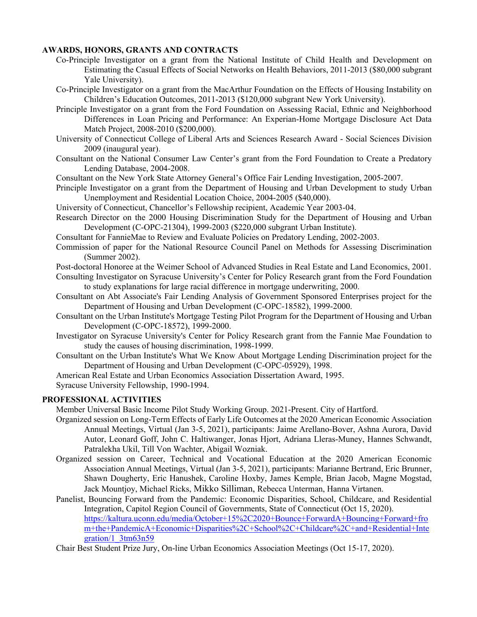# **AWARDS, HONORS, GRANTS AND CONTRACTS**

- Co-Principle Investigator on a grant from the National Institute of Child Health and Development on Estimating the Casual Effects of Social Networks on Health Behaviors, 2011-2013 (\$80,000 subgrant Yale University).
- Co-Principle Investigator on a grant from the MacArthur Foundation on the Effects of Housing Instability on Children's Education Outcomes, 2011-2013 (\$120,000 subgrant New York University).
- Principle Investigator on a grant from the Ford Foundation on Assessing Racial, Ethnic and Neighborhood Differences in Loan Pricing and Performance: An Experian-Home Mortgage Disclosure Act Data Match Project, 2008-2010 (\$200,000).
- University of Connecticut College of Liberal Arts and Sciences Research Award Social Sciences Division 2009 (inaugural year).
- Consultant on the National Consumer Law Center's grant from the Ford Foundation to Create a Predatory Lending Database, 2004-2008.

Consultant on the New York State Attorney General's Office Fair Lending Investigation, 2005-2007.

- Principle Investigator on a grant from the Department of Housing and Urban Development to study Urban Unemployment and Residential Location Choice, 2004-2005 (\$40,000).
- University of Connecticut, Chancellor's Fellowship recipient, Academic Year 2003-04.
- Research Director on the 2000 Housing Discrimination Study for the Department of Housing and Urban Development (C-OPC-21304), 1999-2003 (\$220,000 subgrant Urban Institute).
- Consultant for FannieMae to Review and Evaluate Policies on Predatory Lending, 2002-2003.
- Commission of paper for the National Resource Council Panel on Methods for Assessing Discrimination (Summer 2002).
- Post-doctoral Honoree at the Weimer School of Advanced Studies in Real Estate and Land Economics, 2001.

Consulting Investigator on Syracuse University's Center for Policy Research grant from the Ford Foundation to study explanations for large racial difference in mortgage underwriting, 2000.

- Consultant on Abt Associate's Fair Lending Analysis of Government Sponsored Enterprises project for the Department of Housing and Urban Development (C-OPC-18582), 1999-2000.
- Consultant on the Urban Institute's Mortgage Testing Pilot Program for the Department of Housing and Urban Development (C-OPC-18572), 1999-2000.
- Investigator on Syracuse University's Center for Policy Research grant from the Fannie Mae Foundation to study the causes of housing discrimination, 1998-1999.
- Consultant on the Urban Institute's What We Know About Mortgage Lending Discrimination project for the Department of Housing and Urban Development (C-OPC-05929), 1998.

American Real Estate and Urban Economics Association Dissertation Award, 1995.

Syracuse University Fellowship, 1990-1994.

# **PROFESSIONAL ACTIVITIES**

Member Universal Basic Income Pilot Study Working Group. 2021-Present. City of Hartford.

- Organized session on Long-Term Effects of Early Life Outcomes at the 2020 American Economic Association Annual Meetings, Virtual (Jan 3-5, 2021), participants: Jaime Arellano-Bover, Ashna Aurora, David Autor, Leonard Goff, John C. Haltiwanger, Jonas Hjort, Adriana Lleras-Muney, Hannes Schwandt, Patralekha Ukil, Till Von Wachter, Abigail Wozniak.
- Organized session on Career, Technical and Vocational Education at the 2020 American Economic Association Annual Meetings, Virtual (Jan 3-5, 2021), participants: Marianne Bertrand, Eric Brunner, Shawn Dougherty, Eric Hanushek, Caroline Hoxby, James Kemple, Brian Jacob, Magne Mogstad, Jack Mountjoy, Michael Ricks, Mikko Silliman, Rebecca Unterman, Hanna Virtanen.
- Panelist, Bouncing Forward from the Pandemic: Economic Disparities, School, Childcare, and Residential Integration, Capitol Region Council of Governments, State of Connecticut (Oct 15, 2020). https://kaltura.uconn.edu/media/October+15%2C2020+Bounce+ForwardA+Bouncing+Forward+fro m+the+PandemicA+Economic+Disparities%2C+School%2C+Childcare%2C+and+Residential+Inte gration/1\_3tm63n59

Chair Best Student Prize Jury, On-line Urban Economics Association Meetings (Oct 15-17, 2020).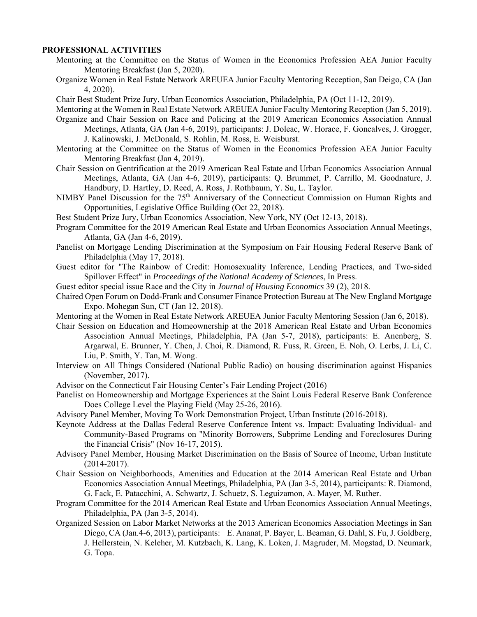## **PROFESSIONAL ACTIVITIES**

- Mentoring at the Committee on the Status of Women in the Economics Profession AEA Junior Faculty Mentoring Breakfast (Jan 5, 2020).
- Organize Women in Real Estate Network AREUEA Junior Faculty Mentoring Reception, San Deigo, CA (Jan 4, 2020).
- Chair Best Student Prize Jury, Urban Economics Association, Philadelphia, PA (Oct 11-12, 2019).
- Mentoring at the Women in Real Estate Network AREUEA Junior Faculty Mentoring Reception (Jan 5, 2019).
- Organize and Chair Session on Race and Policing at the 2019 American Economics Association Annual Meetings, Atlanta, GA (Jan 4-6, 2019), participants: J. Doleac, W. Horace, F. Goncalves, J. Grogger, J. Kalinowski, J. McDonald, S. Rohlin, M. Ross, E. Weisburst.
- Mentoring at the Committee on the Status of Women in the Economics Profession AEA Junior Faculty Mentoring Breakfast (Jan 4, 2019).
- Chair Session on Gentrification at the 2019 American Real Estate and Urban Economics Association Annual Meetings, Atlanta, GA (Jan 4-6, 2019), participants: Q. Brummet, P. Carrillo, M. Goodnature, J. Handbury, D. Hartley, D. Reed, A. Ross, J. Rothbaum, Y. Su, L. Taylor.
- NIMBY Panel Discussion for the 75<sup>th</sup> Anniversary of the Connecticut Commission on Human Rights and Opportunities, Legislative Office Building (Oct 22, 2018).
- Best Student Prize Jury, Urban Economics Association, New York, NY (Oct 12-13, 2018).
- Program Committee for the 2019 American Real Estate and Urban Economics Association Annual Meetings, Atlanta, GA (Jan 4-6, 2019).
- Panelist on Mortgage Lending Discrimination at the Symposium on Fair Housing Federal Reserve Bank of Philadelphia (May 17, 2018).
- Guest editor for "The Rainbow of Credit: Homosexuality Inference, Lending Practices, and Two-sided Spillover Effect" in *Proceedings of the National Academy of Sciences*, In Press.
- Guest editor special issue Race and the City in *Journal of Housing Economics* 39 (2), 2018.
- Chaired Open Forum on Dodd-Frank and Consumer Finance Protection Bureau at The New England Mortgage Expo. Mohegan Sun, CT (Jan 12, 2018).
- Mentoring at the Women in Real Estate Network AREUEA Junior Faculty Mentoring Session (Jan 6, 2018).
- Chair Session on Education and Homeownership at the 2018 American Real Estate and Urban Economics Association Annual Meetings, Philadelphia, PA (Jan 5-7, 2018), participants: E. Anenberg, S. Argarwal, E. Brunner, Y. Chen, J. Choi, R. Diamond, R. Fuss, R. Green, E. Noh, O. Lerbs, J. Li, C. Liu, P. Smith, Y. Tan, M. Wong.
- Interview on All Things Considered (National Public Radio) on housing discrimination against Hispanics (November, 2017).
- Advisor on the Connecticut Fair Housing Center's Fair Lending Project (2016)
- Panelist on Homeownership and Mortgage Experiences at the Saint Louis Federal Reserve Bank Conference Does College Level the Playing Field (May 25-26, 2016).
- Advisory Panel Member, Moving To Work Demonstration Project, Urban Institute (2016-2018).
- Keynote Address at the Dallas Federal Reserve Conference Intent vs. Impact: Evaluating Individual- and Community-Based Programs on "Minority Borrowers, Subprime Lending and Foreclosures During the Financial Crisis" (Nov 16-17, 2015).
- Advisory Panel Member, Housing Market Discrimination on the Basis of Source of Income, Urban Institute (2014-2017).
- Chair Session on Neighborhoods, Amenities and Education at the 2014 American Real Estate and Urban Economics Association Annual Meetings, Philadelphia, PA (Jan 3-5, 2014), participants: R. Diamond, G. Fack, E. Patacchini, A. Schwartz, J. Schuetz, S. Leguizamon, A. Mayer, M. Ruther.
- Program Committee for the 2014 American Real Estate and Urban Economics Association Annual Meetings, Philadelphia, PA (Jan 3-5, 2014).
- Organized Session on Labor Market Networks at the 2013 American Economics Association Meetings in San Diego, CA (Jan.4-6, 2013), participants: E. Ananat, P. Bayer, L. Beaman, G. Dahl, S. Fu, J. Goldberg, J. Hellerstein, N. Keleher, M. Kutzbach, K. Lang, K. Loken, J. Magruder, M. Mogstad, D. Neumark, G. Topa.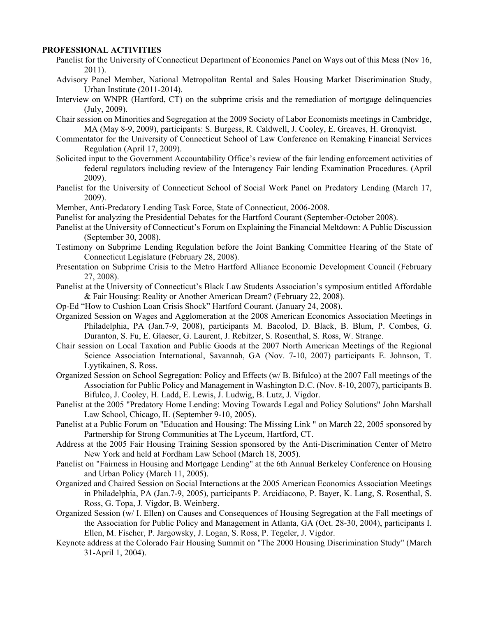## **PROFESSIONAL ACTIVITIES**

- Panelist for the University of Connecticut Department of Economics Panel on Ways out of this Mess (Nov 16, 2011).
- Advisory Panel Member, National Metropolitan Rental and Sales Housing Market Discrimination Study, Urban Institute (2011-2014).
- Interview on WNPR (Hartford, CT) on the subprime crisis and the remediation of mortgage delinquencies (July, 2009).
- Chair session on Minorities and Segregation at the 2009 Society of Labor Economists meetings in Cambridge, MA (May 8-9, 2009), participants: S. Burgess, R. Caldwell, J. Cooley, E. Greaves, H. Gronqvist.
- Commentator for the University of Connecticut School of Law Conference on Remaking Financial Services Regulation (April 17, 2009).
- Solicited input to the Government Accountability Office's review of the fair lending enforcement activities of federal regulators including review of the Interagency Fair lending Examination Procedures. (April 2009).
- Panelist for the University of Connecticut School of Social Work Panel on Predatory Lending (March 17, 2009).
- Member, Anti-Predatory Lending Task Force, State of Connecticut, 2006-2008.
- Panelist for analyzing the Presidential Debates for the Hartford Courant (September-October 2008).
- Panelist at the University of Connecticut's Forum on Explaining the Financial Meltdown: A Public Discussion (September 30, 2008).
- Testimony on Subprime Lending Regulation before the Joint Banking Committee Hearing of the State of Connecticut Legislature (February 28, 2008).
- Presentation on Subprime Crisis to the Metro Hartford Alliance Economic Development Council (February 27, 2008).
- Panelist at the University of Connecticut's Black Law Students Association's symposium entitled Affordable & Fair Housing: Reality or Another American Dream? (February 22, 2008).
- Op-Ed "How to Cushion Loan Crisis Shock" Hartford Courant. (January 24, 2008).
- Organized Session on Wages and Agglomeration at the 2008 American Economics Association Meetings in Philadelphia, PA (Jan.7-9, 2008), participants M. Bacolod, D. Black, B. Blum, P. Combes, G. Duranton, S. Fu, E. Glaeser, G. Laurent, J. Rebitzer, S. Rosenthal, S. Ross, W. Strange.
- Chair session on Local Taxation and Public Goods at the 2007 North American Meetings of the Regional Science Association International, Savannah, GA (Nov. 7-10, 2007) participants E. Johnson, T. Lyytikainen, S. Ross.
- Organized Session on School Segregation: Policy and Effects (w/ B. Bifulco) at the 2007 Fall meetings of the Association for Public Policy and Management in Washington D.C. (Nov. 8-10, 2007), participants B. Bifulco, J. Cooley, H. Ladd, E. Lewis, J. Ludwig, B. Lutz, J. Vigdor.
- Panelist at the 2005 "Predatory Home Lending: Moving Towards Legal and Policy Solutions" John Marshall Law School, Chicago, IL (September 9-10, 2005).
- Panelist at a Public Forum on "Education and Housing: The Missing Link " on March 22, 2005 sponsored by Partnership for Strong Communities at The Lyceum, Hartford, CT.
- Address at the 2005 Fair Housing Training Session sponsored by the Anti-Discrimination Center of Metro New York and held at Fordham Law School (March 18, 2005).
- Panelist on "Fairness in Housing and Mortgage Lending" at the 6th Annual Berkeley Conference on Housing and Urban Policy (March 11, 2005).
- Organized and Chaired Session on Social Interactions at the 2005 American Economics Association Meetings in Philadelphia, PA (Jan.7-9, 2005), participants P. Arcidiacono, P. Bayer, K. Lang, S. Rosenthal, S. Ross, G. Topa, J. Vigdor, B. Weinberg.
- Organized Session (w/ I. Ellen) on Causes and Consequences of Housing Segregation at the Fall meetings of the Association for Public Policy and Management in Atlanta, GA (Oct. 28-30, 2004), participants I. Ellen, M. Fischer, P. Jargowsky, J. Logan, S. Ross, P. Tegeler, J. Vigdor.
- Keynote address at the Colorado Fair Housing Summit on "The 2000 Housing Discrimination Study" (March 31-April 1, 2004).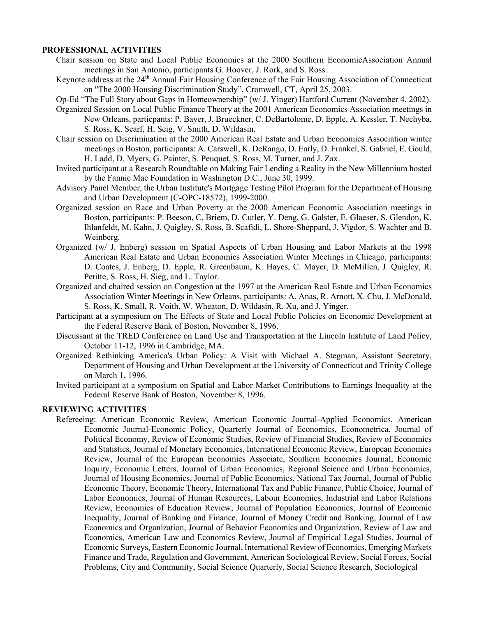### **PROFESSIONAL ACTIVITIES**

- Chair session on State and Local Public Economics at the 2000 Southern EconomicAssociation Annual meetings in San Antonio, participants G. Hoover, J. Rork, and S. Ross.
- Keynote address at the 24<sup>th</sup> Annual Fair Housing Conference of the Fair Housing Association of Connecticut on "The 2000 Housing Discrimination Study", Cromwell, CT, April 25, 2003.
- Op-Ed "The Full Story about Gaps in Homeownership" (w/ J. Yinger) Hartford Current (November 4, 2002). Organized Session on Local Public Finance Theory at the 2001 American Economics Association meetings in
	- New Orleans, particpants: P. Bayer, J. Brueckner, C. DeBartolome, D. Epple, A. Kessler, T. Nechyba, S. Ross, K. Scarf, H. Seig, V. Smith, D. Wildasin.
- Chair session on Discrimination at the 2000 American Real Estate and Urban Economics Association winter meetings in Boston, participants: A. Carswell, K. DeRango, D. Early, D. Frankel, S. Gabriel, E. Gould, H. Ladd, D. Myers, G. Painter, S. Peuquet, S. Ross, M. Turner, and J. Zax.
- Invited participant at a Research Roundtable on Making Fair Lending a Reality in the New Millennium hosted by the Fannie Mae Foundation in Washington D.C., June 30, 1999.
- Advisory Panel Member, the Urban Institute's Mortgage Testing Pilot Program for the Department of Housing and Urban Development (C-OPC-18572), 1999-2000.
- Organized session on Race and Urban Poverty at the 2000 American Economic Association meetings in Boston, participants: P. Beeson, C. Briem, D. Cutler, Y. Deng, G. Galster, E. Glaeser, S. Glendon, K. Ihlanfeldt, M. Kahn, J. Quigley, S. Ross, B. Scafidi, L. Shore-Sheppard, J. Vigdor, S. Wachter and B. Weinberg.
- Organized (w/ J. Enberg) session on Spatial Aspects of Urban Housing and Labor Markets at the 1998 American Real Estate and Urban Economics Association Winter Meetings in Chicago, participants: D. Coates, J. Enberg, D. Epple, R. Greenbaum, K. Hayes, C. Mayer, D. McMillen, J. Quigley, R. Petitte, S. Ross, H. Sieg, and L. Taylor.
- Organized and chaired session on Congestion at the 1997 at the American Real Estate and Urban Economics Association Winter Meetings in New Orleans, participants: A. Anas, R. Arnott, X. Chu, J. McDonald, S. Ross, K. Small, R. Voith, W. Wheaton, D. Wildasin, R. Xu, and J. Yinger.
- Participant at a symposium on The Effects of State and Local Public Policies on Economic Development at the Federal Reserve Bank of Boston, November 8, 1996.
- Discussant at the TRED Conference on Land Use and Transportation at the Lincoln Institute of Land Policy, October 11-12, 1996 in Cambridge, MA.
- Organized Rethinking America's Urban Policy: A Visit with Michael A. Stegman, Assistant Secretary, Department of Housing and Urban Development at the University of Connecticut and Trinity College on March 1, 1996.
- Invited participant at a symposium on Spatial and Labor Market Contributions to Earnings Inequality at the Federal Reserve Bank of Boston, November 8, 1996.

### **REVIEWING ACTIVITIES**

Refereeing: American Economic Review, American Economic Journal-Applied Economics, American Economic Journal-Economic Policy, Quarterly Journal of Economics, Econometrica, Journal of Political Economy, Review of Economic Studies, Review of Financial Studies, Review of Economics and Statistics, Journal of Monetary Economics, International Economic Review, European Economics Review, Journal of the European Economics Associate, Southern Economics Journal, Economic Inquiry, Economic Letters, Journal of Urban Economics, Regional Science and Urban Economics, Journal of Housing Economics, Journal of Public Economics, National Tax Journal, Journal of Public Economic Theory, Economic Theory, International Tax and Public Finance, Public Choice, Journal of Labor Economics, Journal of Human Resources, Labour Economics, Industrial and Labor Relations Review, Economics of Education Review, Journal of Population Economics, Journal of Economic Inequality, Journal of Banking and Finance, Journal of Money Credit and Banking, Journal of Law Economics and Organization, Journal of Behavior Economics and Organization, Review of Law and Economics, American Law and Economics Review, Journal of Empirical Legal Studies, Journal of Economic Surveys, Eastern Economic Journal, International Review of Economics, Emerging Markets Finance and Trade, Regulation and Government, American Sociological Review, Social Forces, Social Problems, City and Community, Social Science Quarterly, Social Science Research, Sociological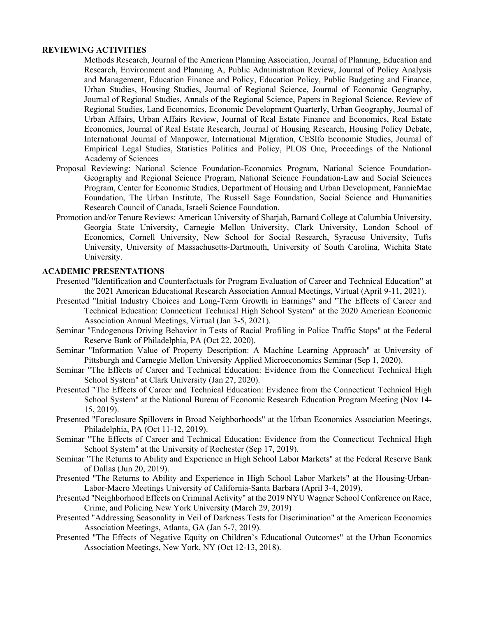### **REVIEWING ACTIVITIES**

Methods Research, Journal of the American Planning Association, Journal of Planning, Education and Research, Environment and Planning A, Public Administration Review, Journal of Policy Analysis and Management, Education Finance and Policy, Education Policy, Public Budgeting and Finance, Urban Studies, Housing Studies, Journal of Regional Science, Journal of Economic Geography, Journal of Regional Studies, Annals of the Regional Science, Papers in Regional Science, Review of Regional Studies, Land Economics, Economic Development Quarterly, Urban Geography, Journal of Urban Affairs, Urban Affairs Review, Journal of Real Estate Finance and Economics, Real Estate Economics, Journal of Real Estate Research, Journal of Housing Research, Housing Policy Debate, International Journal of Manpower, International Migration, CESIfo Economic Studies, Journal of Empirical Legal Studies, Statistics Politics and Policy, PLOS One, Proceedings of the National Academy of Sciences

- Proposal Reviewing: National Science Foundation-Economics Program, National Science Foundation-Geography and Regional Science Program, National Science Foundation-Law and Social Sciences Program, Center for Economic Studies, Department of Housing and Urban Development, FannieMae Foundation, The Urban Institute, The Russell Sage Foundation, Social Science and Humanities Research Council of Canada, Israeli Science Foundation.
- Promotion and/or Tenure Reviews: American University of Sharjah, Barnard College at Columbia University, Georgia State University, Carnegie Mellon University, Clark University, London School of Economics, Cornell University, New School for Social Research, Syracuse University, Tufts University, University of Massachusetts-Dartmouth, University of South Carolina, Wichita State University.

- Presented "Identification and Counterfactuals for Program Evaluation of Career and Technical Education" at the 2021 American Educational Research Association Annual Meetings, Virtual (April 9-11, 2021).
- Presented "Initial Industry Choices and Long-Term Growth in Earnings" and "The Effects of Career and Technical Education: Connecticut Technical High School System" at the 2020 American Economic Association Annual Meetings, Virtual (Jan 3-5, 2021).
- Seminar "Endogenous Driving Behavior in Tests of Racial Profiling in Police Traffic Stops" at the Federal Reserve Bank of Philadelphia, PA (Oct 22, 2020).
- Seminar "Information Value of Property Description: A Machine Learning Approach" at University of Pittsburgh and Carnegie Mellon University Applied Microeconomics Seminar (Sep 1, 2020).
- Seminar "The Effects of Career and Technical Education: Evidence from the Connecticut Technical High School System" at Clark University (Jan 27, 2020).
- Presented "The Effects of Career and Technical Education: Evidence from the Connecticut Technical High School System" at the National Bureau of Economic Research Education Program Meeting (Nov 14- 15, 2019).
- Presented "Foreclosure Spillovers in Broad Neighborhoods" at the Urban Economics Association Meetings, Philadelphia, PA (Oct 11-12, 2019).
- Seminar "The Effects of Career and Technical Education: Evidence from the Connecticut Technical High School System" at the University of Rochester (Sep 17, 2019).
- Seminar "The Returns to Ability and Experience in High School Labor Markets" at the Federal Reserve Bank of Dallas (Jun 20, 2019).
- Presented "The Returns to Ability and Experience in High School Labor Markets" at the Housing-Urban-Labor-Macro Meetings University of California-Santa Barbara (April 3-4, 2019).
- Presented "Neighborhood Effects on Criminal Activity" at the 2019 NYU Wagner School Conference on Race, Crime, and Policing New York University (March 29, 2019)
- Presented "Addressing Seasonality in Veil of Darkness Tests for Discrimination" at the American Economics Association Meetings, Atlanta, GA (Jan 5-7, 2019).
- Presented "The Effects of Negative Equity on Children's Educational Outcomes" at the Urban Economics Association Meetings, New York, NY (Oct 12-13, 2018).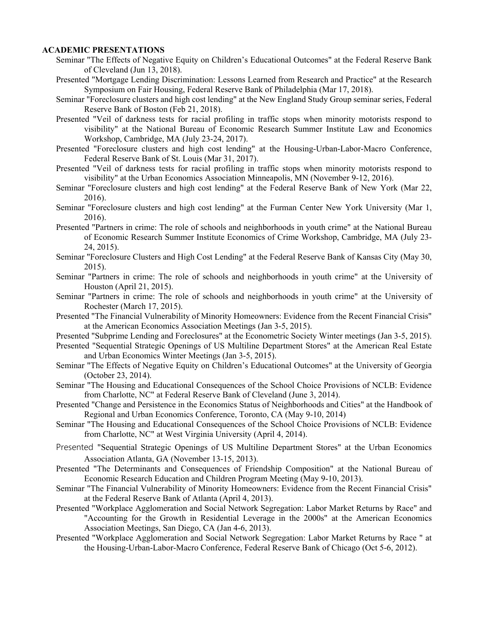- Seminar "The Effects of Negative Equity on Children's Educational Outcomes" at the Federal Reserve Bank of Cleveland (Jun 13, 2018).
- Presented "Mortgage Lending Discrimination: Lessons Learned from Research and Practice" at the Research Symposium on Fair Housing, Federal Reserve Bank of Philadelphia (Mar 17, 2018).
- Seminar "Foreclosure clusters and high cost lending" at the New England Study Group seminar series, Federal Reserve Bank of Boston (Feb 21, 2018).
- Presented "Veil of darkness tests for racial profiling in traffic stops when minority motorists respond to visibility" at the National Bureau of Economic Research Summer Institute Law and Economics Workshop, Cambridge, MA (July 23-24, 2017).
- Presented "Foreclosure clusters and high cost lending" at the Housing-Urban-Labor-Macro Conference, Federal Reserve Bank of St. Louis (Mar 31, 2017).
- Presented "Veil of darkness tests for racial profiling in traffic stops when minority motorists respond to visibility" at the Urban Economics Association Minneapolis, MN (November 9-12, 2016).
- Seminar "Foreclosure clusters and high cost lending" at the Federal Reserve Bank of New York (Mar 22, 2016).
- Seminar "Foreclosure clusters and high cost lending" at the Furman Center New York University (Mar 1, 2016).
- Presented "Partners in crime: The role of schools and neighborhoods in youth crime" at the National Bureau of Economic Research Summer Institute Economics of Crime Workshop, Cambridge, MA (July 23- 24, 2015).
- Seminar "Foreclosure Clusters and High Cost Lending" at the Federal Reserve Bank of Kansas City (May 30, 2015).
- Seminar "Partners in crime: The role of schools and neighborhoods in youth crime" at the University of Houston (April 21, 2015).
- Seminar "Partners in crime: The role of schools and neighborhoods in youth crime" at the University of Rochester (March 17, 2015).
- Presented "The Financial Vulnerability of Minority Homeowners: Evidence from the Recent Financial Crisis" at the American Economics Association Meetings (Jan 3-5, 2015).
- Presented "Subprime Lending and Foreclosures" at the Econometric Society Winter meetings (Jan 3-5, 2015).
- Presented "Sequential Strategic Openings of US Multiline Department Stores" at the American Real Estate and Urban Economics Winter Meetings (Jan 3-5, 2015).
- Seminar "The Effects of Negative Equity on Children's Educational Outcomes" at the University of Georgia (October 23, 2014).
- Seminar "The Housing and Educational Consequences of the School Choice Provisions of NCLB: Evidence from Charlotte, NC" at Federal Reserve Bank of Cleveland (June 3, 2014).
- Presented "Change and Persistence in the Economics Status of Neighborhoods and Cities" at the Handbook of Regional and Urban Economics Conference, Toronto, CA (May 9-10, 2014)
- Seminar "The Housing and Educational Consequences of the School Choice Provisions of NCLB: Evidence from Charlotte, NC" at West Virginia University (April 4, 2014).
- Presented "Sequential Strategic Openings of US Multiline Department Stores" at the Urban Economics Association Atlanta, GA (November 13-15, 2013).
- Presented "The Determinants and Consequences of Friendship Composition" at the National Bureau of Economic Research Education and Children Program Meeting (May 9-10, 2013).
- Seminar "The Financial Vulnerability of Minority Homeowners: Evidence from the Recent Financial Crisis" at the Federal Reserve Bank of Atlanta (April 4, 2013).
- Presented "Workplace Agglomeration and Social Network Segregation: Labor Market Returns by Race" and "Accounting for the Growth in Residential Leverage in the 2000s" at the American Economics Association Meetings, San Diego, CA (Jan 4-6, 2013).
- Presented "Workplace Agglomeration and Social Network Segregation: Labor Market Returns by Race " at the Housing-Urban-Labor-Macro Conference, Federal Reserve Bank of Chicago (Oct 5-6, 2012).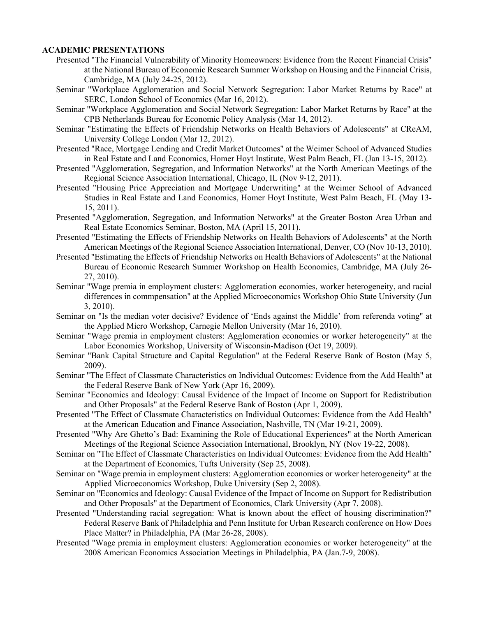- Presented "The Financial Vulnerability of Minority Homeowners: Evidence from the Recent Financial Crisis" at the National Bureau of Economic Research Summer Workshop on Housing and the Financial Crisis, Cambridge, MA (July 24-25, 2012).
- Seminar "Workplace Agglomeration and Social Network Segregation: Labor Market Returns by Race" at SERC, London School of Economics (Mar 16, 2012).
- Seminar "Workplace Agglomeration and Social Network Segregation: Labor Market Returns by Race" at the CPB Netherlands Bureau for Economic Policy Analysis (Mar 14, 2012).
- Seminar "Estimating the Effects of Friendship Networks on Health Behaviors of Adolescents" at CReAM, University College London (Mar 12, 2012).
- Presented "Race, Mortgage Lending and Credit Market Outcomes" at the Weimer School of Advanced Studies in Real Estate and Land Economics, Homer Hoyt Institute, West Palm Beach, FL (Jan 13-15, 2012).
- Presented "Agglomeration, Segregation, and Information Networks" at the North American Meetings of the Regional Science Association International, Chicago, IL (Nov 9-12, 2011).
- Presented "Housing Price Appreciation and Mortgage Underwriting" at the Weimer School of Advanced Studies in Real Estate and Land Economics, Homer Hoyt Institute, West Palm Beach, FL (May 13- 15, 2011).
- Presented "Agglomeration, Segregation, and Information Networks" at the Greater Boston Area Urban and Real Estate Economics Seminar, Boston, MA (April 15, 2011).
- Presented "Estimating the Effects of Friendship Networks on Health Behaviors of Adolescents" at the North American Meetings of the Regional Science Association International, Denver, CO (Nov 10-13, 2010).
- Presented "Estimating the Effects of Friendship Networks on Health Behaviors of Adolescents" at the National Bureau of Economic Research Summer Workshop on Health Economics, Cambridge, MA (July 26- 27, 2010).
- Seminar "Wage premia in employment clusters: Agglomeration economies, worker heterogeneity, and racial differences in commpensation" at the Applied Microeconomics Workshop Ohio State University (Jun 3, 2010).
- Seminar on "Is the median voter decisive? Evidence of 'Ends against the Middle' from referenda voting" at the Applied Micro Workshop, Carnegie Mellon University (Mar 16, 2010).
- Seminar "Wage premia in employment clusters: Agglomeration economies or worker heterogeneity" at the Labor Economics Workshop, University of Wisconsin-Madison (Oct 19, 2009).
- Seminar "Bank Capital Structure and Capital Regulation" at the Federal Reserve Bank of Boston (May 5, 2009).
- Seminar "The Effect of Classmate Characteristics on Individual Outcomes: Evidence from the Add Health" at the Federal Reserve Bank of New York (Apr 16, 2009).
- Seminar "Economics and Ideology: Causal Evidence of the Impact of Income on Support for Redistribution and Other Proposals" at the Federal Reserve Bank of Boston (Apr 1, 2009).
- Presented "The Effect of Classmate Characteristics on Individual Outcomes: Evidence from the Add Health" at the American Education and Finance Association, Nashville, TN (Mar 19-21, 2009).
- Presented "Why Are Ghetto's Bad: Examining the Role of Educational Experiences" at the North American Meetings of the Regional Science Association International, Brooklyn, NY (Nov 19-22, 2008).
- Seminar on "The Effect of Classmate Characteristics on Individual Outcomes: Evidence from the Add Health" at the Department of Economics, Tufts University (Sep 25, 2008).
- Seminar on "Wage premia in employment clusters: Agglomeration economies or worker heterogeneity" at the Applied Microeconomics Workshop, Duke University (Sep 2, 2008).
- Seminar on "Economics and Ideology: Causal Evidence of the Impact of Income on Support for Redistribution and Other Proposals" at the Department of Economics, Clark University (Apr 7, 2008).
- Presented "Understanding racial segregation: What is known about the effect of housing discrimination?" Federal Reserve Bank of Philadelphia and Penn Institute for Urban Research conference on How Does Place Matter? in Philadelphia, PA (Mar 26-28, 2008).
- Presented "Wage premia in employment clusters: Agglomeration economies or worker heterogeneity" at the 2008 American Economics Association Meetings in Philadelphia, PA (Jan.7-9, 2008).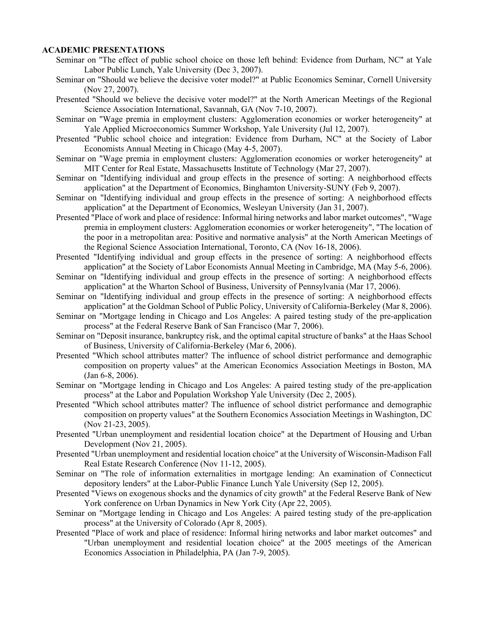- Seminar on "The effect of public school choice on those left behind: Evidence from Durham, NC" at Yale Labor Public Lunch, Yale University (Dec 3, 2007).
- Seminar on "Should we believe the decisive voter model?" at Public Economics Seminar, Cornell University (Nov 27, 2007).
- Presented "Should we believe the decisive voter model?" at the North American Meetings of the Regional Science Association International, Savannah, GA (Nov 7-10, 2007).
- Seminar on "Wage premia in employment clusters: Agglomeration economies or worker heterogeneity" at Yale Applied Microeconomics Summer Workshop, Yale University (Jul 12, 2007).
- Presented "Public school choice and integration: Evidence from Durham, NC" at the Society of Labor Economists Annual Meeting in Chicago (May 4-5, 2007).
- Seminar on "Wage premia in employment clusters: Agglomeration economies or worker heterogeneity" at MIT Center for Real Estate, Massachusetts Institute of Technology (Mar 27, 2007).
- Seminar on "Identifying individual and group effects in the presence of sorting: A neighborhood effects application" at the Department of Economics, Binghamton University-SUNY (Feb 9, 2007).
- Seminar on "Identifying individual and group effects in the presence of sorting: A neighborhood effects application" at the Department of Economics, Wesleyan University (Jan 31, 2007).
- Presented "Place of work and place of residence: Informal hiring networks and labor market outcomes", "Wage premia in employment clusters: Agglomeration economies or worker heterogeneity", "The location of the poor in a metropolitan area: Positive and normative analysis" at the North American Meetings of the Regional Science Association International, Toronto, CA (Nov 16-18, 2006).
- Presented "Identifying individual and group effects in the presence of sorting: A neighborhood effects application" at the Society of Labor Economists Annual Meeting in Cambridge, MA (May 5-6, 2006).
- Seminar on "Identifying individual and group effects in the presence of sorting: A neighborhood effects application" at the Wharton School of Business, University of Pennsylvania (Mar 17, 2006).
- Seminar on "Identifying individual and group effects in the presence of sorting: A neighborhood effects application" at the Goldman School of Public Policy, University of California-Berkeley (Mar 8, 2006).
- Seminar on "Mortgage lending in Chicago and Los Angeles: A paired testing study of the pre-application process" at the Federal Reserve Bank of San Francisco (Mar 7, 2006).
- Seminar on "Deposit insurance, bankruptcy risk, and the optimal capital structure of banks" at the Haas School of Business, University of California-Berkeley (Mar 6, 2006).
- Presented "Which school attributes matter? The influence of school district performance and demographic composition on property values" at the American Economics Association Meetings in Boston, MA (Jan 6-8, 2006).
- Seminar on "Mortgage lending in Chicago and Los Angeles: A paired testing study of the pre-application process" at the Labor and Population Workshop Yale University (Dec 2, 2005).
- Presented "Which school attributes matter? The influence of school district performance and demographic composition on property values" at the Southern Economics Association Meetings in Washington, DC (Nov 21-23, 2005).
- Presented "Urban unemployment and residential location choice" at the Department of Housing and Urban Development (Nov 21, 2005).
- Presented "Urban unemployment and residential location choice" at the University of Wisconsin-Madison Fall Real Estate Research Conference (Nov 11-12, 2005).
- Seminar on "The role of information externalities in mortgage lending: An examination of Connecticut depository lenders" at the Labor-Public Finance Lunch Yale University (Sep 12, 2005).
- Presented "Views on exogenous shocks and the dynamics of city growth" at the Federal Reserve Bank of New York conference on Urban Dynamics in New York City (Apr 22, 2005).
- Seminar on "Mortgage lending in Chicago and Los Angeles: A paired testing study of the pre-application process" at the University of Colorado (Apr 8, 2005).
- Presented "Place of work and place of residence: Informal hiring networks and labor market outcomes" and "Urban unemployment and residential location choice" at the 2005 meetings of the American Economics Association in Philadelphia, PA (Jan 7-9, 2005).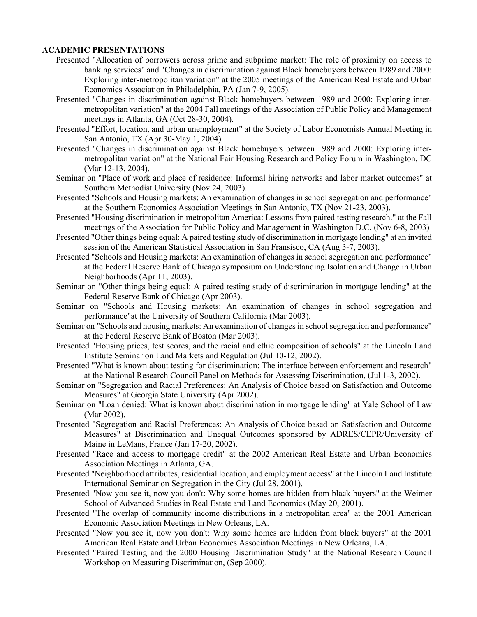- Presented "Allocation of borrowers across prime and subprime market: The role of proximity on access to banking services" and "Changes in discrimination against Black homebuyers between 1989 and 2000: Exploring inter-metropolitan variation" at the 2005 meetings of the American Real Estate and Urban Economics Association in Philadelphia, PA (Jan 7-9, 2005).
- Presented "Changes in discrimination against Black homebuyers between 1989 and 2000: Exploring intermetropolitan variation" at the 2004 Fall meetings of the Association of Public Policy and Management meetings in Atlanta, GA (Oct 28-30, 2004).
- Presented "Effort, location, and urban unemployment" at the Society of Labor Economists Annual Meeting in San Antonio, TX (Apr 30-May 1, 2004).
- Presented "Changes in discrimination against Black homebuyers between 1989 and 2000: Exploring intermetropolitan variation" at the National Fair Housing Research and Policy Forum in Washington, DC (Mar 12-13, 2004).
- Seminar on "Place of work and place of residence: Informal hiring networks and labor market outcomes" at Southern Methodist University (Nov 24, 2003).
- Presented "Schools and Housing markets: An examination of changes in school segregation and performance" at the Southern Economics Association Meetings in San Antonio, TX (Nov 21-23, 2003).
- Presented "Housing discrimination in metropolitan America: Lessons from paired testing research." at the Fall meetings of the Association for Public Policy and Management in Washington D.C. (Nov 6-8, 2003)
- Presented "Other things being equal: A paired testing study of discrimination in mortgage lending" at an invited session of the American Statistical Association in San Fransisco, CA (Aug 3-7, 2003).
- Presented "Schools and Housing markets: An examination of changes in school segregation and performance" at the Federal Reserve Bank of Chicago symposium on Understanding Isolation and Change in Urban Neighborhoods (Apr 11, 2003).
- Seminar on "Other things being equal: A paired testing study of discrimination in mortgage lending" at the Federal Reserve Bank of Chicago (Apr 2003).
- Seminar on "Schools and Housing markets: An examination of changes in school segregation and performance"at the University of Southern California (Mar 2003).
- Seminar on "Schools and housing markets: An examination of changes in school segregation and performance" at the Federal Reserve Bank of Boston (Mar 2003).
- Presented "Housing prices, test scores, and the racial and ethic composition of schools" at the Lincoln Land Institute Seminar on Land Markets and Regulation (Jul 10-12, 2002).
- Presented "What is known about testing for discrimination: The interface between enforcement and research" at the National Research Council Panel on Methods for Assessing Discrimination, (Jul 1-3, 2002).
- Seminar on "Segregation and Racial Preferences: An Analysis of Choice based on Satisfaction and Outcome Measures" at Georgia State University (Apr 2002).
- Seminar on "Loan denied: What is known about discrimination in mortgage lending" at Yale School of Law (Mar 2002).
- Presented "Segregation and Racial Preferences: An Analysis of Choice based on Satisfaction and Outcome Measures" at Discrimination and Unequal Outcomes sponsored by ADRES/CEPR/University of Maine in LeMans, France (Jan 17-20, 2002).
- Presented "Race and access to mortgage credit" at the 2002 American Real Estate and Urban Economics Association Meetings in Atlanta, GA.
- Presented "Neighborhood attributes, residential location, and employment access" at the Lincoln Land Institute International Seminar on Segregation in the City (Jul 28, 2001).
- Presented "Now you see it, now you don't: Why some homes are hidden from black buyers" at the Weimer School of Advanced Studies in Real Estate and Land Economics (May 20, 2001).
- Presented "The overlap of community income distributions in a metropolitan area" at the 2001 American Economic Association Meetings in New Orleans, LA.
- Presented "Now you see it, now you don't: Why some homes are hidden from black buyers" at the 2001 American Real Estate and Urban Economics Association Meetings in New Orleans, LA.
- Presented "Paired Testing and the 2000 Housing Discrimination Study" at the National Research Council Workshop on Measuring Discrimination, (Sep 2000).